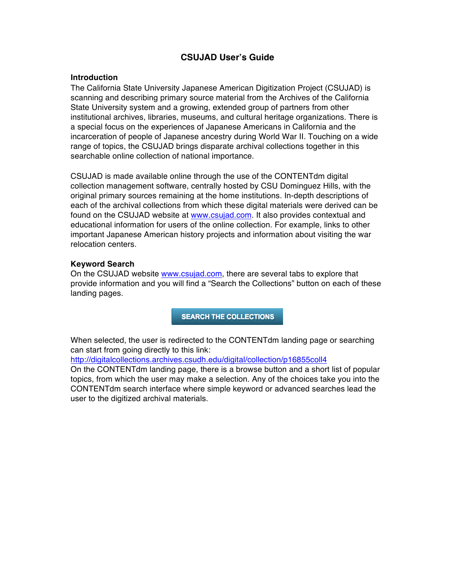# **CSUJAD User's Guide**

### **Introduction**

The California State University Japanese American Digitization Project (CSUJAD) is scanning and describing primary source material from the Archives of the California State University system and a growing, extended group of partners from other institutional archives, libraries, museums, and cultural heritage organizations. There is a special focus on the experiences of Japanese Americans in California and the incarceration of people of Japanese ancestry during World War II. Touching on a wide range of topics, the CSUJAD brings disparate archival collections together in this searchable online collection of national importance.

CSUJAD is made available online through the use of the CONTENTdm digital collection management software, centrally hosted by CSU Dominguez Hills, with the original primary sources remaining at the home institutions. In-depth descriptions of each of the archival collections from which these digital materials were derived can be found on the CSUJAD website at www.csujad.com. It also provides contextual and educational information for users of the online collection. For example, links to other important Japanese American history projects and information about visiting the war relocation centers.

## **Keyword Search**

On the CSUJAD website www.csujad.com, there are several tabs to explore that provide information and you will find a "Search the Collections" button on each of these landing pages.

**SEARCH THE COLLECTIONS** 

When selected, the user is redirected to the CONTENTdm landing page or searching can start from going directly to this link:

http://digitalcollections.archives.csudh.edu/digital/collection/p16855coll4

On the CONTENTdm landing page, there is a browse button and a short list of popular topics, from which the user may make a selection. Any of the choices take you into the CONTENTdm search interface where simple keyword or advanced searches lead the user to the digitized archival materials.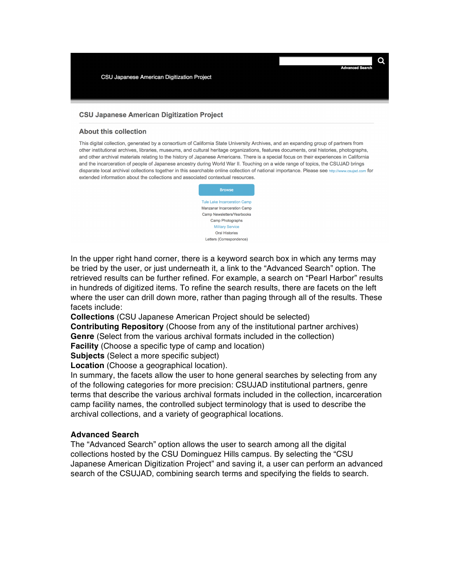#### **CSU Japanese American Digitization Project**

#### **About this collection**

This digital collection, generated by a consortium of California State University Archives, and an expanding group of partners from other institutional archives, libraries, museums, and cultural heritage organizations, features documents, oral histories, photographs, and other archival materials relating to the history of Japanese Americans. There is a special focus on their experiences in California and the incarceration of people of Japanese ancestry during World War II. Touching on a wide range of topics, the CSUJAD brings disparate local archival collections together in this searchable online collection of national importance. Please see http://www.csujad.com for extended information about the collections and associated contextual resources.



In the upper right hand corner, there is a keyword search box in which any terms may be tried by the user, or just underneath it, a link to the "Advanced Search" option. The retrieved results can be further refined. For example, a search on "Pearl Harbor" results in hundreds of digitized items. To refine the search results, there are facets on the left where the user can drill down more, rather than paging through all of the results. These facets include:

**Collections** (CSU Japanese American Project should be selected)

**Contributing Repository** (Choose from any of the institutional partner archives) **Genre** (Select from the various archival formats included in the collection)

**Facility** (Choose a specific type of camp and location)

**Subjects** (Select a more specific subject)

**Location** (Choose a geographical location).

In summary, the facets allow the user to hone general searches by selecting from any of the following categories for more precision: CSUJAD institutional partners, genre terms that describe the various archival formats included in the collection, incarceration camp facility names, the controlled subject terminology that is used to describe the archival collections, and a variety of geographical locations.

### **Advanced Search**

The "Advanced Search" option allows the user to search among all the digital collections hosted by the CSU Dominguez Hills campus. By selecting the "CSU Japanese American Digitization Project" and saving it, a user can perform an advanced search of the CSUJAD, combining search terms and specifying the fields to search.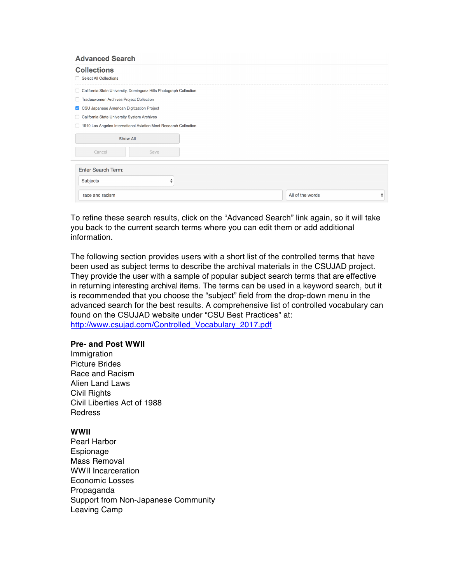| <b>Collections</b><br><b>Select All Collections</b><br>n.               |                  |                              |
|-------------------------------------------------------------------------|------------------|------------------------------|
| California State University, Dominguez Hills Photograph Collection<br>u |                  |                              |
| Tradeswomen Archives Project Collection<br>n                            |                  |                              |
| CSU Japanese American Digitization Project<br>$\vert \checkmark \vert$  |                  |                              |
| California State University System Archives<br>$\Box$                   |                  |                              |
| 1910 Los Angeles International Aviation Meet Research Collection<br>П   |                  |                              |
| Show All                                                                |                  |                              |
| Cancel<br>Save                                                          |                  |                              |
| <b>Enter Search Term:</b>                                               |                  |                              |
| Subjects<br>▴<br>▼                                                      |                  |                              |
| race and racism                                                         | All of the words | ▲<br>$\overline{\mathbf{v}}$ |

To refine these search results, click on the "Advanced Search" link again, so it will take you back to the current search terms where you can edit them or add additional information.

The following section provides users with a short list of the controlled terms that have been used as subject terms to describe the archival materials in the CSUJAD project. They provide the user with a sample of popular subject search terms that are effective in returning interesting archival items. The terms can be used in a keyword search, but it is recommended that you choose the "subject" field from the drop-down menu in the advanced search for the best results. A comprehensive list of controlled vocabulary can found on the CSUJAD website under "CSU Best Practices" at: http://www.csujad.com/Controlled\_Vocabulary\_2017.pdf

### **Pre- and Post WWII**

**Immigration** Picture Brides Race and Racism Alien Land Laws Civil Rights Civil Liberties Act of 1988 Redress

### **WWII**

Pearl Harbor Espionage Mass Removal WWII Incarceration Economic Losses Propaganda Support from Non-Japanese Community Leaving Camp